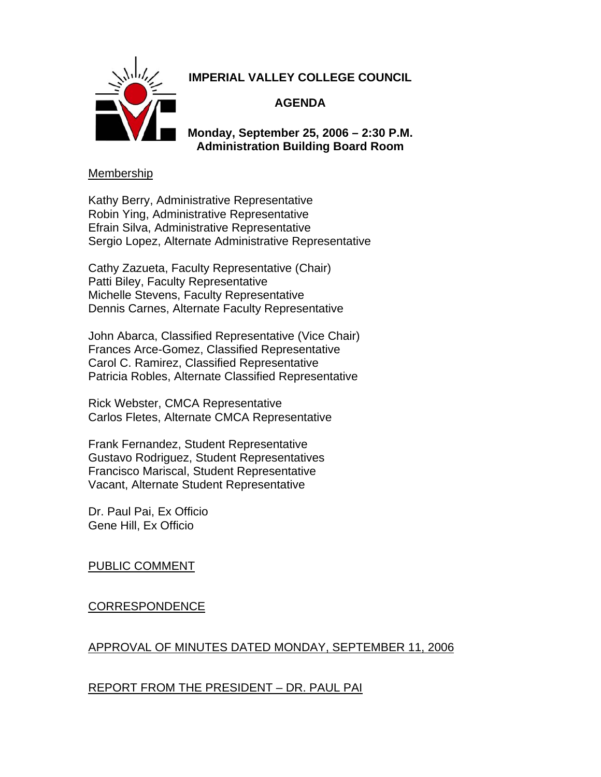

# **IMPERIAL VALLEY COLLEGE COUNCIL**

## **AGENDA**

**Monday, September 25, 2006 – 2:30 P.M. Administration Building Board Room** 

### **Membership**

Kathy Berry, Administrative Representative Robin Ying, Administrative Representative Efrain Silva, Administrative Representative Sergio Lopez, Alternate Administrative Representative

Cathy Zazueta, Faculty Representative (Chair) Patti Biley, Faculty Representative Michelle Stevens, Faculty Representative Dennis Carnes, Alternate Faculty Representative

John Abarca, Classified Representative (Vice Chair) Frances Arce-Gomez, Classified Representative Carol C. Ramirez, Classified Representative Patricia Robles, Alternate Classified Representative

Rick Webster, CMCA Representative Carlos Fletes, Alternate CMCA Representative

Frank Fernandez, Student Representative Gustavo Rodriguez, Student Representatives Francisco Mariscal, Student Representative Vacant, Alternate Student Representative

Dr. Paul Pai, Ex Officio Gene Hill, Ex Officio

## PUBLIC COMMENT

## CORRESPONDENCE

### APPROVAL OF MINUTES DATED MONDAY, SEPTEMBER 11, 2006

## REPORT FROM THE PRESIDENT – DR. PAUL PAI